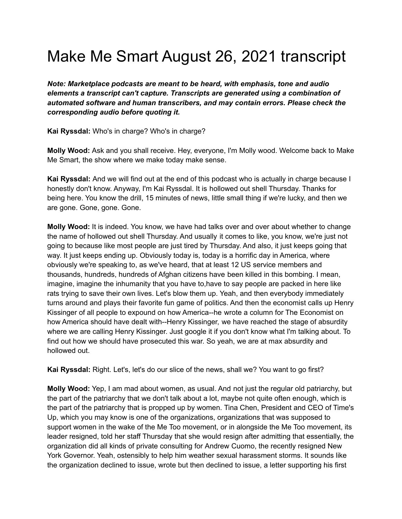## Make Me Smart August 26, 2021 transcript

*Note: Marketplace podcasts are meant to be heard, with emphasis, tone and audio elements a transcript can't capture. Transcripts are generated using a combination of automated software and human transcribers, and may contain errors. Please check the corresponding audio before quoting it.*

**Kai Ryssdal:** Who's in charge? Who's in charge?

**Molly Wood:** Ask and you shall receive. Hey, everyone, I'm Molly wood. Welcome back to Make Me Smart, the show where we make today make sense.

**Kai Ryssdal:** And we will find out at the end of this podcast who is actually in charge because I honestly don't know. Anyway, I'm Kai Ryssdal. It is hollowed out shell Thursday. Thanks for being here. You know the drill, 15 minutes of news, little small thing if we're lucky, and then we are gone. Gone, gone. Gone.

**Molly Wood:** It is indeed. You know, we have had talks over and over about whether to change the name of hollowed out shell Thursday. And usually it comes to like, you know, we're just not going to because like most people are just tired by Thursday. And also, it just keeps going that way. It just keeps ending up. Obviously today is, today is a horrific day in America, where obviously we're speaking to, as we've heard, that at least 12 US service members and thousands, hundreds, hundreds of Afghan citizens have been killed in this bombing. I mean, imagine, imagine the inhumanity that you have to,have to say people are packed in here like rats trying to save their own lives. Let's blow them up. Yeah, and then everybody immediately turns around and plays their favorite fun game of politics. And then the economist calls up Henry Kissinger of all people to expound on how America--he wrote a column for The Economist on how America should have dealt with--Henry Kissinger, we have reached the stage of absurdity where we are calling Henry Kissinger. Just google it if you don't know what I'm talking about. To find out how we should have prosecuted this war. So yeah, we are at max absurdity and hollowed out.

**Kai Ryssdal:** Right. Let's, let's do our slice of the news, shall we? You want to go first?

**Molly Wood:** Yep, I am mad about women, as usual. And not just the regular old patriarchy, but the part of the patriarchy that we don't talk about a lot, maybe not quite often enough, which is the part of the patriarchy that is propped up by women. Tina Chen, President and CEO of Time's Up, which you may know is one of the organizations, organizations that was supposed to support women in the wake of the Me Too movement, or in alongside the Me Too movement, its leader resigned, told her staff Thursday that she would resign after admitting that essentially, the organization did all kinds of private consulting for Andrew Cuomo, the recently resigned New York Governor. Yeah, ostensibly to help him weather sexual harassment storms. It sounds like the organization declined to issue, wrote but then declined to issue, a letter supporting his first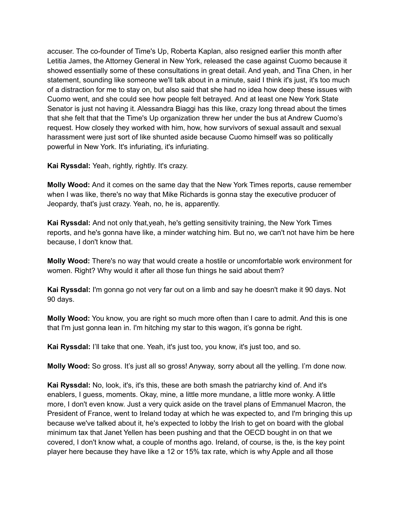accuser. The co-founder of Time's Up, Roberta Kaplan, also resigned earlier this month after Letitia James, the Attorney General in New York, released the case against Cuomo because it showed essentially some of these consultations in great detail. And yeah, and Tina Chen, in her statement, sounding like someone we'll talk about in a minute, said I think it's just, it's too much of a distraction for me to stay on, but also said that she had no idea how deep these issues with Cuomo went, and she could see how people felt betrayed. And at least one New York State Senator is just not having it. Alessandra Biaggi has this like, crazy long thread about the times that she felt that that the Time's Up organization threw her under the bus at Andrew Cuomo's request. How closely they worked with him, how, how survivors of sexual assault and sexual harassment were just sort of like shunted aside because Cuomo himself was so politically powerful in New York. It's infuriating, it's infuriating.

**Kai Ryssdal:** Yeah, rightly, rightly. It's crazy.

**Molly Wood:** And it comes on the same day that the New York Times reports, cause remember when I was like, there's no way that Mike Richards is gonna stay the executive producer of Jeopardy, that's just crazy. Yeah, no, he is, apparently.

**Kai Ryssdal:** And not only that,yeah, he's getting sensitivity training, the New York Times reports, and he's gonna have like, a minder watching him. But no, we can't not have him be here because, I don't know that.

**Molly Wood:** There's no way that would create a hostile or uncomfortable work environment for women. Right? Why would it after all those fun things he said about them?

**Kai Ryssdal:** I'm gonna go not very far out on a limb and say he doesn't make it 90 days. Not 90 days.

**Molly Wood:** You know, you are right so much more often than I care to admit. And this is one that I'm just gonna lean in. I'm hitching my star to this wagon, it's gonna be right.

**Kai Ryssdal:** I'll take that one. Yeah, it's just too, you know, it's just too, and so.

**Molly Wood:** So gross. It's just all so gross! Anyway, sorry about all the yelling. I'm done now.

**Kai Ryssdal:** No, look, it's, it's this, these are both smash the patriarchy kind of. And it's enablers, I guess, moments. Okay, mine, a little more mundane, a little more wonky. A little more, I don't even know. Just a very quick aside on the travel plans of Emmanuel Macron, the President of France, went to Ireland today at which he was expected to, and I'm bringing this up because we've talked about it, he's expected to lobby the Irish to get on board with the global minimum tax that Janet Yellen has been pushing and that the OECD bought in on that we covered, I don't know what, a couple of months ago. Ireland, of course, is the, is the key point player here because they have like a 12 or 15% tax rate, which is why Apple and all those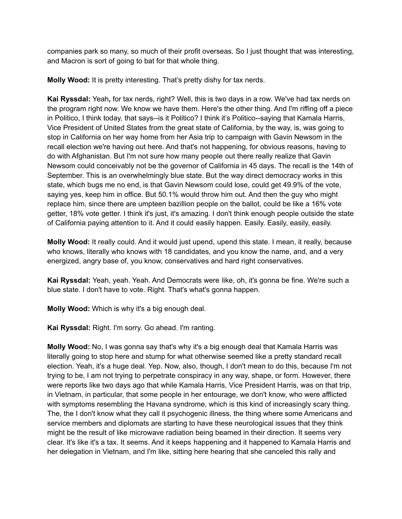companies park so many, so much of their profit overseas. So I just thought that was interesting, and Macron is sort of going to bat for that whole thing.

**Molly Wood:** It is pretty interesting. That's pretty dishy for tax nerds.

**Kai Ryssdal:** Yeah**,** for tax nerds, right? Well, this is two days in a row. We've had tax nerds on the program right now. We know we have them. Here's the other thing. And I'm riffing off a piece in Politico, I think today, that says--is it Politico? I think it's Politico--saying that Kamala Harris, Vice President of United States from the great state of California, by the way, is, was going to stop in California on her way home from her Asia trip to campaign with Gavin Newsom in the recall election we're having out here. And that's not happening, for obvious reasons, having to do with Afghanistan. But I'm not sure how many people out there really realize that Gavin Newsom could conceivably not be the governor of California in 45 days. The recall is the 14th of September. This is an overwhelmingly blue state. But the way direct democracy works in this state, which bugs me no end, is that Gavin Newsom could lose, could get 49.9% of the vote, saying yes, keep him in office. But 50.1% would throw him out. And then the guy who might replace him, since there are umpteen bazillion people on the ballot, could be like a 16% vote getter, 18% vote getter. I think it's just, it's amazing. I don't think enough people outside the state of California paying attention to it. And it could easily happen. Easily. Easily, easily, easily.

**Molly Wood:** It really could. And it would just upend, upend this state. I mean, it really, because who knows, literally who knows with 18 candidates, and you know the name, and, and a very energized, angry base of, you know, conservatives and hard right conservatives.

**Kai Ryssdal:** Yeah, yeah. Yeah. And Democrats were like, oh, it's gonna be fine. We're such a blue state. I don't have to vote. Right. That's what's gonna happen.

**Molly Wood:** Which is why it's a big enough deal.

**Kai Ryssdal:** Right. I'm sorry. Go ahead. I'm ranting.

**Molly Wood:** No, I was gonna say that's why it's a big enough deal that Kamala Harris was literally going to stop here and stump for what otherwise seemed like a pretty standard recall election. Yeah, it's a huge deal. Yep. Now, also, though, I don't mean to do this, because I'm not trying to be, I am not trying to perpetrate conspiracy in any way, shape, or form. However, there were reports like two days ago that while Kamala Harris, Vice President Harris, was on that trip, in Vietnam, in particular, that some people in her entourage, we don't know, who were afflicted with symptoms resembling the Havana syndrome, which is this kind of increasingly scary thing. The, the I don't know what they call it psychogenic illness, the thing where some Americans and service members and diplomats are starting to have these neurological issues that they think might be the result of like microwave radiation being beamed in their direction. It seems very clear. It's like it's a tax. It seems. And it keeps happening and it happened to Kamala Harris and her delegation in Vietnam, and I'm like, sitting here hearing that she canceled this rally and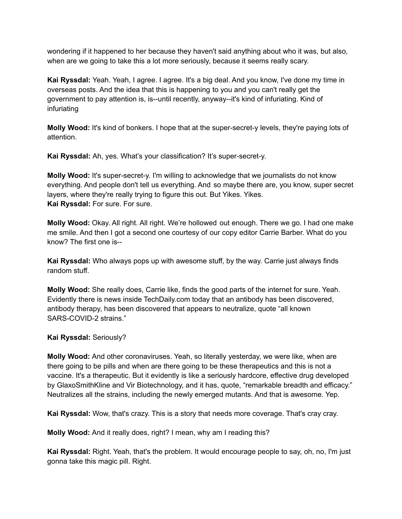wondering if it happened to her because they haven't said anything about who it was, but also, when are we going to take this a lot more seriously, because it seems really scary.

**Kai Ryssdal:** Yeah. Yeah, I agree. I agree. It's a big deal. And you know, I've done my time in overseas posts. And the idea that this is happening to you and you can't really get the government to pay attention is, is--until recently, anyway--it's kind of infuriating. Kind of infuriating

**Molly Wood:** It's kind of bonkers. I hope that at the super-secret-y levels, they're paying lots of attention.

**Kai Ryssdal:** Ah, yes. What's your classification? It's super-secret-y.

**Molly Wood:** It's super-secret-y. I'm willing to acknowledge that we journalists do not know everything. And people don't tell us everything. And so maybe there are, you know, super secret layers, where they're really trying to figure this out. But Yikes. Yikes. **Kai Ryssdal:** For sure. For sure.

**Molly Wood:** Okay. All right. All right. We're hollowed out enough. There we go. I had one make me smile. And then I got a second one courtesy of our copy editor Carrie Barber. What do you know? The first one is--

**Kai Ryssdal:** Who always pops up with awesome stuff, by the way. Carrie just always finds random stuff.

**Molly Wood:** She really does, Carrie like, finds the good parts of the internet for sure. Yeah. Evidently there is news inside TechDaily.com today that an antibody has been discovered, antibody therapy, has been discovered that appears to neutralize, quote "all known SARS-COVID-2 strains."

## **Kai Ryssdal:** Seriously?

**Molly Wood:** And other coronaviruses. Yeah, so literally yesterday, we were like, when are there going to be pills and when are there going to be these therapeutics and this is not a vaccine. It's a therapeutic. But it evidently is like a seriously hardcore, effective drug developed by GlaxoSmithKline and Vir Biotechnology, and it has, quote, "remarkable breadth and efficacy." Neutralizes all the strains, including the newly emerged mutants. And that is awesome. Yep.

**Kai Ryssdal:** Wow, that's crazy. This is a story that needs more coverage. That's cray cray.

**Molly Wood:** And it really does, right? I mean, why am I reading this?

**Kai Ryssdal:** Right. Yeah, that's the problem. It would encourage people to say, oh, no, I'm just gonna take this magic pill. Right.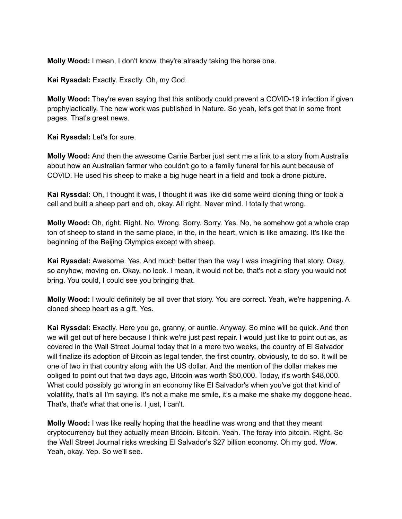**Molly Wood:** I mean, I don't know, they're already taking the horse one.

**Kai Ryssdal:** Exactly. Exactly. Oh, my God.

**Molly Wood:** They're even saying that this antibody could prevent a COVID-19 infection if given prophylactically. The new work was published in Nature. So yeah, let's get that in some front pages. That's great news.

**Kai Ryssdal:** Let's for sure.

**Molly Wood:** And then the awesome Carrie Barber just sent me a link to a story from Australia about how an Australian farmer who couldn't go to a family funeral for his aunt because of COVID. He used his sheep to make a big huge heart in a field and took a drone picture.

**Kai Ryssdal:** Oh, I thought it was, I thought it was like did some weird cloning thing or took a cell and built a sheep part and oh, okay. All right. Never mind. I totally that wrong.

**Molly Wood:** Oh, right. Right. No. Wrong. Sorry. Sorry. Yes. No, he somehow got a whole crap ton of sheep to stand in the same place, in the, in the heart, which is like amazing. It's like the beginning of the Beijing Olympics except with sheep.

**Kai Ryssdal:** Awesome. Yes. And much better than the way I was imagining that story. Okay, so anyhow, moving on. Okay, no look. I mean, it would not be, that's not a story you would not bring. You could, I could see you bringing that.

**Molly Wood:** I would definitely be all over that story. You are correct. Yeah, we're happening. A cloned sheep heart as a gift. Yes.

**Kai Ryssdal:** Exactly. Here you go, granny, or auntie. Anyway. So mine will be quick. And then we will get out of here because I think we're just past repair. I would just like to point out as, as covered in the Wall Street Journal today that in a mere two weeks, the country of El Salvador will finalize its adoption of Bitcoin as legal tender, the first country, obviously, to do so. It will be one of two in that country along with the US dollar. And the mention of the dollar makes me obliged to point out that two days ago, Bitcoin was worth \$50,000. Today, it's worth \$48,000. What could possibly go wrong in an economy like El Salvador's when you've got that kind of volatility, that's all I'm saying. It's not a make me smile, it's a make me shake my doggone head. That's, that's what that one is. I just, I can't.

**Molly Wood:** I was like really hoping that the headline was wrong and that they meant cryptocurrency but they actually mean Bitcoin. Bitcoin. Yeah. The foray into bitcoin. Right. So the Wall Street Journal risks wrecking El Salvador's \$27 billion economy. Oh my god. Wow. Yeah, okay. Yep. So we'll see.